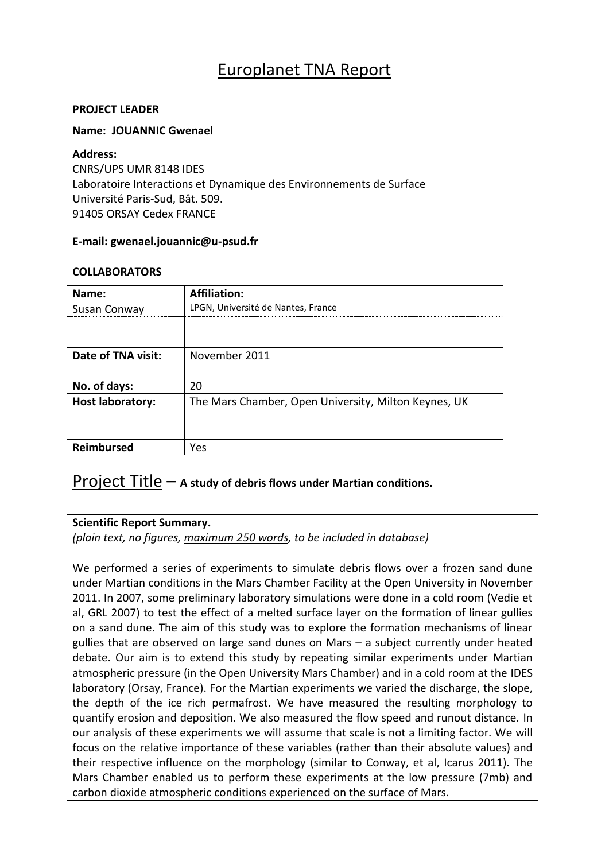## Europlanet TNA Report

### **PROJECT LEADER**

### **Name: JOUANNIC Gwenael**

### **Address:**

CNRS/UPS UMR 8148 IDES Laboratoire Interactions et Dynamique des Environnements de Surface Université Paris-Sud, Bât. 509. 91405 ORSAY Cedex FRANCE

### **E-mail: gwenael.jouannic@u-psud.fr**

### **COLLABORATORS**

| Name:                   | <b>Affiliation:</b>                                  |
|-------------------------|------------------------------------------------------|
| Susan Conway            | LPGN, Université de Nantes, France                   |
|                         |                                                      |
|                         |                                                      |
| Date of TNA visit:      | November 2011                                        |
|                         |                                                      |
| No. of days:            | 20                                                   |
| <b>Host laboratory:</b> | The Mars Chamber, Open University, Milton Keynes, UK |
|                         |                                                      |
|                         |                                                      |
| Reimbursed              | Yes                                                  |

### Project Title – **A study of debris flows under Martian conditions.**

### **Scientific Report Summary.**

*(plain text, no figures, maximum 250 words, to be included in database)*

We performed a series of experiments to simulate debris flows over a frozen sand dune under Martian conditions in the Mars Chamber Facility at the Open University in November 2011. In 2007, some preliminary laboratory simulations were done in a cold room (Vedie et al, GRL 2007) to test the effect of a melted surface layer on the formation of linear gullies on a sand dune. The aim of this study was to explore the formation mechanisms of linear gullies that are observed on large sand dunes on Mars – a subject currently under heated debate. Our aim is to extend this study by repeating similar experiments under Martian atmospheric pressure (in the Open University Mars Chamber) and in a cold room at the IDES laboratory (Orsay, France). For the Martian experiments we varied the discharge, the slope, the depth of the ice rich permafrost. We have measured the resulting morphology to quantify erosion and deposition. We also measured the flow speed and runout distance. In our analysis of these experiments we will assume that scale is not a limiting factor. We will focus on the relative importance of these variables (rather than their absolute values) and their respective influence on the morphology (similar to Conway, et al, Icarus 2011). The Mars Chamber enabled us to perform these experiments at the low pressure (7mb) and carbon dioxide atmospheric conditions experienced on the surface of Mars.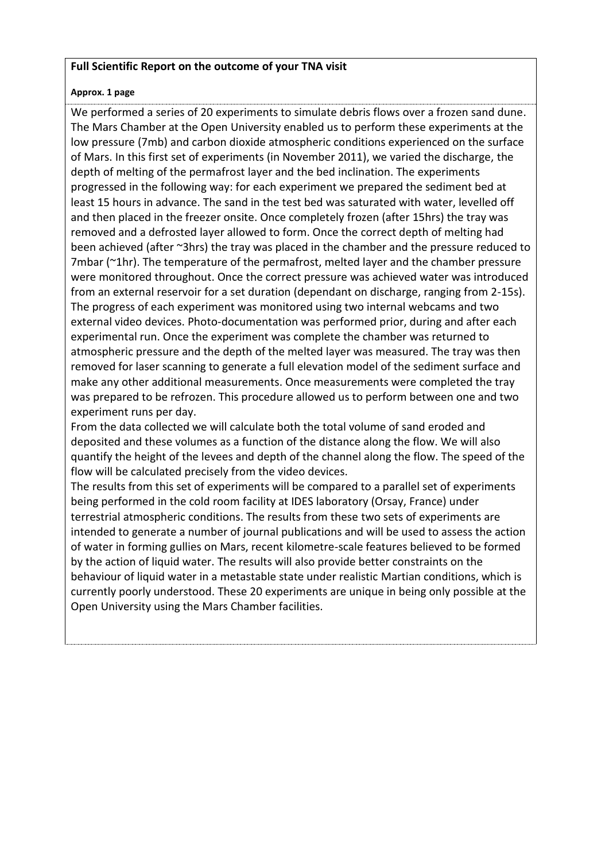### **Full Scientific Report on the outcome of your TNA visit**

### **Approx. 1 page**

We performed a series of 20 experiments to simulate debris flows over a frozen sand dune. The Mars Chamber at the Open University enabled us to perform these experiments at the low pressure (7mb) and carbon dioxide atmospheric conditions experienced on the surface of Mars. In this first set of experiments (in November 2011), we varied the discharge, the depth of melting of the permafrost layer and the bed inclination. The experiments progressed in the following way: for each experiment we prepared the sediment bed at least 15 hours in advance. The sand in the test bed was saturated with water, levelled off and then placed in the freezer onsite. Once completely frozen (after 15hrs) the tray was removed and a defrosted layer allowed to form. Once the correct depth of melting had been achieved (after ~3hrs) the tray was placed in the chamber and the pressure reduced to 7mbar (~1hr). The temperature of the permafrost, melted layer and the chamber pressure were monitored throughout. Once the correct pressure was achieved water was introduced from an external reservoir for a set duration (dependant on discharge, ranging from 2-15s). The progress of each experiment was monitored using two internal webcams and two external video devices. Photo-documentation was performed prior, during and after each experimental run. Once the experiment was complete the chamber was returned to atmospheric pressure and the depth of the melted layer was measured. The tray was then removed for laser scanning to generate a full elevation model of the sediment surface and make any other additional measurements. Once measurements were completed the tray was prepared to be refrozen. This procedure allowed us to perform between one and two experiment runs per day.

From the data collected we will calculate both the total volume of sand eroded and deposited and these volumes as a function of the distance along the flow. We will also quantify the height of the levees and depth of the channel along the flow. The speed of the flow will be calculated precisely from the video devices.

The results from this set of experiments will be compared to a parallel set of experiments being performed in the cold room facility at IDES laboratory (Orsay, France) under terrestrial atmospheric conditions. The results from these two sets of experiments are intended to generate a number of journal publications and will be used to assess the action of water in forming gullies on Mars, recent kilometre-scale features believed to be formed by the action of liquid water. The results will also provide better constraints on the behaviour of liquid water in a metastable state under realistic Martian conditions, which is currently poorly understood. These 20 experiments are unique in being only possible at the Open University using the Mars Chamber facilities.